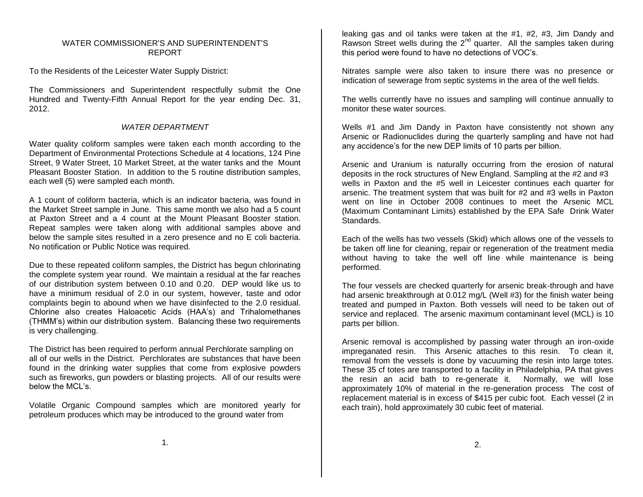## WATER COMMISSIONER'S AND SUPERINTENDENT'S REPORT

To the Residents of the Leicester Water Supply District:

The Commissioners and Superintendent respectfully submit the One Hundred and Twenty-Fifth Annual Report for the year ending Dec. 31, 2012.

## *WATER DEPARTMENT*

Water quality coliform samples were taken each month according to the Department of Environmental Protections Schedule at 4 locations, 124 Pine Street, 9 Water Street, 10 Market Street, at the water tanks and the Mount Pleasant Booster Station. In addition to the 5 routine distribution samples, each well (5) were sampled each month.

A 1 count of coliform bacteria, which is an indicator bacteria, was found in the Market Street sample in June. This same month we also had a 5 count at Paxton Street and a 4 count at the Mount Pleasant Booster station. Repeat samples were taken along with additional samples above and below the sample sites resulted in a zero presence and no E coli bacteria. No notification or Public Notice was required.

Due to these repeated coliform samples, the District has begun chlorinating the complete system year round. We maintain a residual at the far reaches of our distribution system between 0.10 and 0.20. DEP would like us to have a minimum residual of 2.0 in our system, however, taste and odor complaints begin to abound when we have disinfected to the 2.0 residual. Chlorine also creates Haloacetic Acids (HAA's) and Trihalomethanes (THMM's) within our distribution system. Balancing these two requirements is very challenging.

The District has been required to perform annual Perchlorate sampling on all of our wells in the District. Perchlorates are substances that have been found in the drinking water supplies that come from explosive powders such as fireworks, gun powders or blasting projects. All of our results were below the MCL's.

Volatile Organic Compound samples which are monitored yearly for petroleum produces which may be introduced to the ground water from

leaking gas and oil tanks were taken at the #1, #2, #3, Jim Dandy and Rawson Street wells during the 2<sup>nd</sup> quarter. All the samples taken during this period were found to have no detections of VOC's.

Nitrates sample were also taken to insure there was no presence or indication of sewerage from septic systems in the area of the well fields.

The wells currently have no issues and sampling will continue annually to monitor these water sources.

Wells #1 and Jim Dandy in Paxton have consistently not shown any Arsenic or Radionuclides during the quarterly sampling and have not had any accidence's for the new DEP limits of 10 parts per billion.

Arsenic and Uranium is naturally occurring from the erosion of natural deposits in the rock structures of New England. Sampling at the #2 and #3 wells in Paxton and the #5 well in Leicester continues each quarter for arsenic. The treatment system that was built for #2 and #3 wells in Paxton went on line in October 2008 continues to meet the Arsenic MCL (Maximum Contaminant Limits) established by the EPA Safe Drink Water Standards.

Each of the wells has two vessels (Skid) which allows one of the vessels to be taken off line for cleaning, repair or regeneration of the treatment media without having to take the well off line while maintenance is being performed.

The four vessels are checked quarterly for arsenic break-through and have had arsenic breakthrough at 0.012 mg/L (Well #3) for the finish water being treated and pumped in Paxton. Both vessels will need to be taken out of service and replaced. The arsenic maximum contaminant level (MCL) is 10 parts per billion.

Arsenic removal is accomplished by passing water through an iron-oxide impreganated resin. This Arsenic attaches to this resin. To clean it, removal from the vessels is done by vacuuming the resin into large totes. These 35 cf totes are transported to a facility in Philadelphia, PA that gives the resin an acid bath to re-generate it. Normally, we will lose approximately 10% of material in the re-generation process The cost of replacement material is in excess of \$415 per cubic foot. Each vessel (2 in each train), hold approximately 30 cubic feet of material.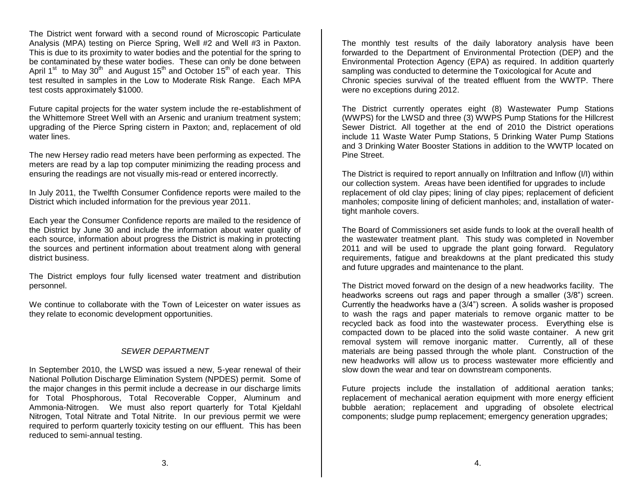The District went forward with a second round of Microscopic Particulate Analysis (MPA) testing on Pierce Spring, Well #2 and Well #3 in Paxton. This is due to its proximity to water bodies and the potential for the spring to be contaminated by these water bodies. These can only be done between April 1<sup>st</sup> to May 30<sup>th</sup> and August 15<sup>th</sup> and October 15<sup>th</sup> of each year. This test resulted in samples in the Low to Moderate Risk Range. Each MPA test costs approximately \$1000.

Future capital projects for the water system include the re-establishment of the Whittemore Street Well with an Arsenic and uranium treatment system; upgrading of the Pierce Spring cistern in Paxton; and, replacement of old water lines.

The new Hersey radio read meters have been performing as expected. The meters are read by a lap top computer minimizing the reading process and ensuring the readings are not visually mis-read or entered incorrectly.

In July 2011, the Twelfth Consumer Confidence reports were mailed to the District which included information for the previous year 2011.

Each year the Consumer Confidence reports are mailed to the residence of the District by June 30 and include the information about water quality of each source, information about progress the District is making in protecting the sources and pertinent information about treatment along with general district business.

The District employs four fully licensed water treatment and distribution personnel.

We continue to collaborate with the Town of Leicester on water issues as they relate to economic development opportunities.

## *SEWER DEPARTMENT*

In September 2010, the LWSD was issued a new, 5-year renewal of their National Pollution Discharge Elimination System (NPDES) permit. Some of the major changes in this permit include a decrease in our discharge limits for Total Phosphorous, Total Recoverable Copper, Aluminum and Ammonia-Nitrogen. We must also report quarterly for Total Kjeldahl Nitrogen, Total Nitrate and Total Nitrite. In our previous permit we were required to perform quarterly toxicity testing on our effluent. This has been reduced to semi-annual testing.

The monthly test results of the daily laboratory analysis have been forwarded to the Department of Environmental Protection (DEP) and the Environmental Protection Agency (EPA) as required. In addition quarterly sampling was conducted to determine the Toxicological for Acute and Chronic species survival of the treated effluent from the WWTP. There were no exceptions during 2012.

The District currently operates eight (8) Wastewater Pump Stations (WWPS) for the LWSD and three (3) WWPS Pump Stations for the Hillcrest Sewer District. All together at the end of 2010 the District operations include 11 Waste Water Pump Stations, 5 Drinking Water Pump Stations and 3 Drinking Water Booster Stations in addition to the WWTP located on Pine Street.

The District is required to report annually on Infiltration and Inflow (I/I) within our collection system. Areas have been identified for upgrades to include replacement of old clay pipes; lining of clay pipes; replacement of deficient manholes; composite lining of deficient manholes; and, installation of watertight manhole covers.

The Board of Commissioners set aside funds to look at the overall health of the wastewater treatment plant. This study was completed in November 2011 and will be used to upgrade the plant going forward. Regulatory requirements, fatigue and breakdowns at the plant predicated this study and future upgrades and maintenance to the plant.

The District moved forward on the design of a new headworks facility. The headworks screens out rags and paper through a smaller (3/8") screen. Currently the headworks have a (3/4") screen. A solids washer is proposed to wash the rags and paper materials to remove organic matter to be recycled back as food into the wastewater process. Everything else is compacted down to be placed into the solid waste container. A new grit removal system will remove inorganic matter. Currently, all of these materials are being passed through the whole plant. Construction of the new headworks will allow us to process wastewater more efficiently and slow down the wear and tear on downstream components.

Future projects include the installation of additional aeration tanks; replacement of mechanical aeration equipment with more energy efficient bubble aeration; replacement and upgrading of obsolete electrical components; sludge pump replacement; emergency generation upgrades;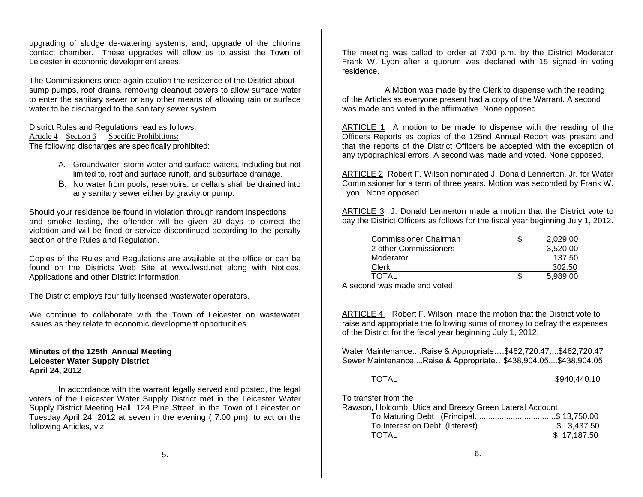upgrading of sludge de-watering systems; and, upgrade of the chlorine contact chamber. These upgrades will allow us to assist the Town of Leicester in economic development areas.

The Commissioners once again caution the residence of the District about sump pumps, roof drains, removing cleanout covers to allow surface water to enter the sanitary sewer or any other means of allowing rain or surface water to be discharged to the sanitary sewer system.

District Rules and Regulations read as follows: Article 4 Section 6 Specific Prohibitions: The following discharges are specifically prohibited:

- A. Groundwater, storm water and surface waters, including but not limited to, roof and surface runoff, and subsurface drainage.
- B. No water from pools, reservoirs, or cellars shall be drained into any sanitary sewer either by gravity or pump.

Should your residence be found in violation through random inspections and smoke testing, the offender will be given 30 days to correct the violation and will be fined or service discontinued according to the penalty section of the Rules and Regulation.

Copies of the Rules and Regulations are available at the office or can be found on the Districts Web Site at www.lwsd.net along with Notices, Applications and other District information.

The District employs four fully licensed wastewater operators.

We continue to collaborate with the Town of Leicester on wastewater issues as they relate to economic development opportunities.

## **Minutes of the 125th Annual Meeting Leicester Water Supply District April 24, 2012**

In accordance with the warrant legally served and posted, the legal voters of the Leicester Water Supply District met in the Leicester Water Supply District Meeting Hall, 124 Pine Street, in the Town of Leicester on Tuesday April 24, 2012 at seven in the evening ( 7:00 pm), to act on the following Articles, viz:

The meeting was called to order at 7:00 p.m. by the District Moderator Frank W. Lyon after a quorum was declared with 15 signed in voting residence.

 A Motion was made by the Clerk to dispense with the reading of the Articles as everyone present had a copy of the Warrant. A second was made and voted in the affirmative. None opposed.

ARTICLE 1 A motion to be made to dispense with the reading of the Officers Reports as copies of the 125nd Annual Report was present and that the reports of the District Officers be accepted with the exception of any typographical errors. A second was made and voted. None opposed,

ARTICLE 2 Robert F. Wilson nominated J. Donald Lennerton, Jr. for Water Commissioner for a term of three years. Motion was seconded by Frank W. Lyon. None opposed

ARTICLE 3 J. Donald Lennerton made a motion that the District vote to pay the District Officers as follows for the fiscal year beginning July 1, 2012.

| <b>Commissioner Chairman</b> | 2,029.00 |
|------------------------------|----------|
| 2 other Commissioners        | 3.520.00 |
| Moderator                    | 137.50   |
| Clerk                        | 302.50   |
| <b>TOTAL</b>                 | 5.989.00 |
|                              |          |

A second was made and voted.

ARTICLE 4 Robert F. Wilson made the motion that the District vote to raise and appropriate the following sums of money to defray the expenses of the District for the fiscal year beginning July 1, 2012.

Water Maintenance....Raise & Appropriate….\$462,720.47....\$462,720.47 Sewer Maintenance....Raise & Appropriate…\$438,904.05....\$438,904.05

| TOTAL | \$940,440.10 |
|-------|--------------|
|-------|--------------|

To transfer from the

Rawson, Holcomb, Utica and Breezy Green Lateral Account

|       | To Maturing Debt (Principal\$ 13,750.00   |             |
|-------|-------------------------------------------|-------------|
|       | To Interest on Debt (Interest)\$ 3,437.50 |             |
| TOTAL |                                           | \$17,187.50 |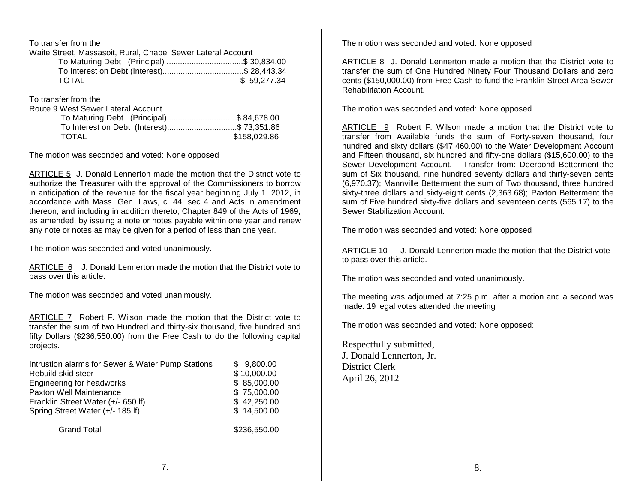To transfer from the

| Waite Street, Massasoit, Rural, Chapel Sewer Lateral Account |                                           |
|--------------------------------------------------------------|-------------------------------------------|
|                                                              | To Maturing Debt (Principal) \$ 30,834.00 |

| To Interest on Debt (Interest)\$ 28,443.34 |             |
|--------------------------------------------|-------------|
| TOTAL                                      | \$59,277.34 |

To transfer from the

Route

| Route 9 West Sewer Lateral Account         |              |
|--------------------------------------------|--------------|
| To Maturing Debt (Principal)\$84,678.00    |              |
| To Interest on Debt (Interest)\$ 73,351.86 |              |
| <b>TOTAL</b>                               | \$158,029.86 |
|                                            |              |

The motion was seconded and voted: None opposed

ARTICLE 5 J. Donald Lennerton made the motion that the District vote to authorize the Treasurer with the approval of the Commissioners to borrow in anticipation of the revenue for the fiscal year beginning July 1, 2012, in accordance with Mass. Gen. Laws, c. 44, sec 4 and Acts in amendment thereon, and including in addition thereto, Chapter 849 of the Acts of 1969, as amended, by issuing a note or notes payable within one year and renew any note or notes as may be given for a period of less than one year.

The motion was seconded and voted unanimously.

ARTICLE 6 J. Donald Lennerton made the motion that the District vote to pass over this article.

The motion was seconded and voted unanimously.

ARTICLE 7 Robert F. Wilson made the motion that the District vote to transfer the sum of two Hundred and thirty-six thousand, five hundred and fifty Dollars (\$236,550.00) from the Free Cash to do the following capital projects.

| Intrustion alarms for Sewer & Water Pump Stations | \$9,800.00                                                                                                       |
|---------------------------------------------------|------------------------------------------------------------------------------------------------------------------|
| Rebuild skid steer                                | \$10,000.00                                                                                                      |
| Engineering for headworks                         | \$85,000.00                                                                                                      |
| Paxton Well Maintenance                           | \$75,000.00                                                                                                      |
| Franklin Street Water (+/- 650 If)                | \$42,250.00                                                                                                      |
| Spring Street Water (+/- 185 lf)                  | \$14,500.00                                                                                                      |
| _______                                           | $\begin{array}{c} \n\bullet \bullet \bullet \bullet \bullet \bullet \bullet \bullet \bullet \bullet \end{array}$ |

Grand Total \$236,550.00

The motion was seconded and voted: None opposed

ARTICLE 8 J. Donald Lennerton made a motion that the District vote to transfer the sum of One Hundred Ninety Four Thousand Dollars and zero cents (\$150,000.00) from Free Cash to fund the Franklin Street Area Sewer Rehabilitation Account.

The motion was seconded and voted: None opposed

ARTICLE 9 Robert F. Wilson made a motion that the District vote to transfer from Available funds the sum of Forty-seven thousand, four hundred and sixty dollars (\$47,460.00) to the Water Development Account and Fifteen thousand, six hundred and fifty-one dollars (\$15,600.00) to the Sewer Development Account. Transfer from: Deerpond Betterment the sum of Six thousand, nine hundred seventy dollars and thirty-seven cents (6,970.37); Mannville Betterment the sum of Two thousand, three hundred sixty-three dollars and sixty-eight cents (2,363.68); Paxton Betterment the sum of Five hundred sixty-five dollars and seventeen cents (565.17) to the Sewer Stabilization Account.

The motion was seconded and voted: None opposed

ARTICLE 10 J. Donald Lennerton made the motion that the District vote to pass over this article.

The motion was seconded and voted unanimously.

The meeting was adjourned at 7:25 p.m. after a motion and a second was made. 19 legal votes attended the meeting

The motion was seconded and voted: None opposed:

Respectfully submitted, J. Donald Lennerton, Jr. District Clerk April 26, 2012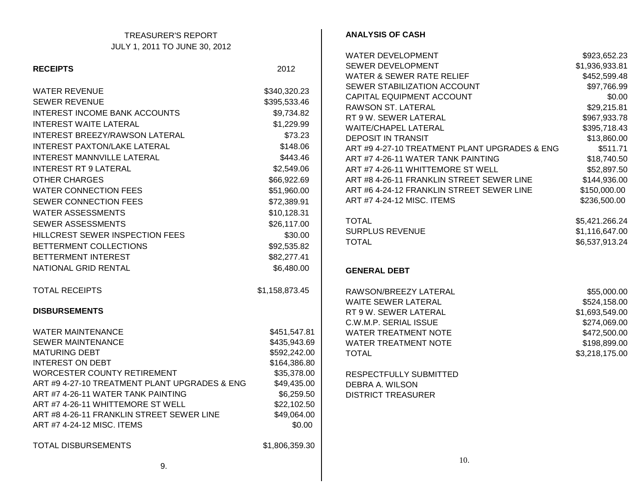| <b>TREASURER'S REPORT</b>                     |                | <b>ANALYSIS OF CASH</b>                       |                |
|-----------------------------------------------|----------------|-----------------------------------------------|----------------|
| JULY 1, 2011 TO JUNE 30, 2012                 |                |                                               |                |
|                                               |                | WATER DEVELOPMENT                             | \$923,652.23   |
| <b>RECEIPTS</b>                               | 2012           | SEWER DEVELOPMENT                             | \$1,936,933.81 |
|                                               |                | <b>WATER &amp; SEWER RATE RELIEF</b>          | \$452,599.48   |
| <b>WATER REVENUE</b>                          | \$340,320.23   | SEWER STABILIZATION ACCOUNT                   | \$97,766.99    |
| <b>SEWER REVENUE</b>                          | \$395,533.46   | CAPITAL EQUIPMENT ACCOUNT                     | \$0.00         |
| INTEREST INCOME BANK ACCOUNTS                 | \$9,734.82     | RAWSON ST. LATERAL                            | \$29,215.81    |
|                                               |                | RT 9 W. SEWER LATERAL                         | \$967,933.78   |
| <b>INTEREST WAITE LATERAL</b>                 | \$1,229.99     | <b>WAITE/CHAPEL LATERAL</b>                   | \$395,718.43   |
| INTEREST BREEZY/RAWSON LATERAL                | \$73.23        | <b>DEPOSIT IN TRANSIT</b>                     | \$13,860.00    |
| INTEREST PAXTON/LAKE LATERAL                  | \$148.06       | ART #9 4-27-10 TREATMENT PLANT UPGRADES & ENG | \$511.71       |
| INTEREST MANNVILLE LATERAL                    | \$443.46       | ART #7 4-26-11 WATER TANK PAINTING            | \$18,740.50    |
| <b>INTEREST RT 9 LATERAL</b>                  | \$2,549.06     | ART #7 4-26-11 WHITTEMORE ST WELL             | \$52,897.50    |
| <b>OTHER CHARGES</b>                          | \$66,922.69    | ART #8 4-26-11 FRANKLIN STREET SEWER LINE     | \$144,936.00   |
| <b>WATER CONNECTION FEES</b>                  | \$51,960.00    | ART #6 4-24-12 FRANKLIN STREET SEWER LINE     | \$150,000.00   |
| SEWER CONNECTION FEES                         | \$72,389.91    | ART #7 4-24-12 MISC. ITEMS                    | \$236,500.00   |
| <b>WATER ASSESSMENTS</b>                      | \$10,128.31    |                                               |                |
| SEWER ASSESSMENTS                             | \$26,117.00    | <b>TOTAL</b>                                  | \$5,421.266.24 |
| HILLCREST SEWER INSPECTION FEES               | \$30.00        | <b>SURPLUS REVENUE</b>                        | \$1,116,647.00 |
| BETTERMENT COLLECTIONS                        | \$92,535.82    | <b>TOTAL</b>                                  | \$6,537,913.24 |
| BETTERMENT INTEREST                           | \$82,277.41    |                                               |                |
| NATIONAL GRID RENTAL                          | \$6,480.00     | <b>GENERAL DEBT</b>                           |                |
|                                               |                |                                               |                |
| <b>TOTAL RECEIPTS</b>                         | \$1,158,873.45 | RAWSON/BREEZY LATERAL                         | \$55,000.00    |
|                                               |                | WAITE SEWER LATERAL                           | \$524,158.00   |
| <b>DISBURSEMENTS</b>                          |                | RT 9 W. SEWER LATERAL                         | \$1,693,549.00 |
|                                               |                | C.W.M.P. SERIAL ISSUE                         | \$274,069.00   |
| <b>WATER MAINTENANCE</b>                      | \$451,547.81   | <b>WATER TREATMENT NOTE</b>                   | \$472,500.00   |
| <b>SEWER MAINTENANCE</b>                      | \$435,943.69   | <b>WATER TREATMENT NOTE</b>                   | \$198,899.00   |
| <b>MATURING DEBT</b>                          | \$592,242.00   | <b>TOTAL</b>                                  | \$3,218,175.00 |
| <b>INTEREST ON DEBT</b>                       | \$164,386.80   |                                               |                |
| WORCESTER COUNTY RETIREMENT                   | \$35,378.00    | RESPECTFULLY SUBMITTED                        |                |
| ART #9 4-27-10 TREATMENT PLANT UPGRADES & ENG | \$49,435.00    | DEBRA A. WILSON                               |                |
| ART #7 4-26-11 WATER TANK PAINTING            | \$6,259.50     | <b>DISTRICT TREASURER</b>                     |                |
| ART #7 4-26-11 WHITTEMORE ST WELL             | \$22,102.50    |                                               |                |
| ART #8 4-26-11 FRANKLIN STREET SEWER LINE     | \$49,064.00    |                                               |                |
| ART #7 4-24-12 MISC. ITEMS                    | \$0.00         |                                               |                |
| <b>TOTAL DISBURSEMENTS</b>                    | \$1,806,359.30 |                                               |                |
|                                               |                |                                               |                |